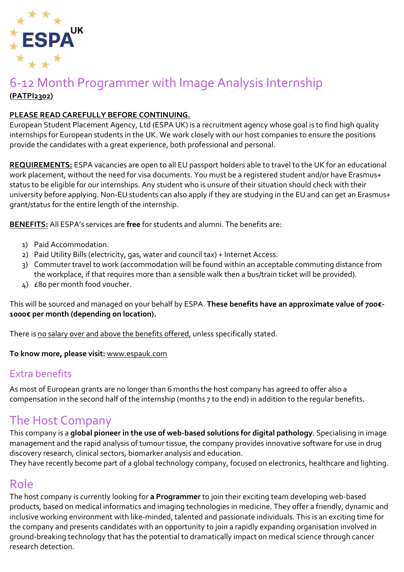

#### 6-12 Month Programmer with Image Analysis Internship **(PATPI2302)**

#### **PLEASE READ CAREFULLY BEFORE CONTINUING.**

European Student Placement Agency, Ltd (ESPA UK) is a recruitment agency whose goal is to find high quality internships for European students in the UK. We work closely with our host companies to ensure the positions provide the candidates with a great experience, both professional and personal.

**REQUIREMENTS:** ESPA vacancies are open to all EU passport holders able to travel to the UK for an educational work placement, without the need for visa documents. You must be a registered student and/or have Erasmus+ status to be eligible for our internships. Any student who is unsure of their situation should check with their university before applying. Non-EU students can also apply if they are studying in the EU and can get an Erasmus+ grant/status for the entire length of the internship.

**BENEFITS:** All ESPA's services are **free** for students and alumni. The benefits are:

- 1) Paid Accommodation.
- 2) Paid Utility Bills (electricity, gas, water and council tax) + Internet Access.
- 3) Commuter travel to work (accommodation will be found within an acceptable commuting distance from the workplace, if that requires more than a sensible walk then a bus/train ticket will be provided).
- 4) £80 per month food voucher.

This will be sourced and managed on your behalf by ESPA. **These benefits have an approximate value of 700€- 1000€ per month (depending on location).**

There is no salary over and above the benefits offered, unless specifically stated.

**To know more, please visit:** [www.espauk.com](http://www.espauk.com/)

#### Extra benefits

As most of European grants are no longer than 6 months the host company has agreed to offer also a compensation in the second half of the internship (months 7 to the end) in addition to the regular benefits.

# The Host Company

This company is a **global pioneer in the use of web-based solutions for digital pathology**. Specialising in image management and the rapid analysis of tumour tissue, the company provides innovative software for use in drug discovery research, clinical sectors, biomarker analysis and education.

They have recently become part of a global technology company, focused on electronics, healthcare and lighting.

### Role

The host company is currently looking for **a Programmer** to join their exciting team developing web-based products, based on medical informatics and imaging technologies in medicine. They offer a friendly, dynamic and inclusive working environment with like-minded, talented and passionate individuals. This is an exciting time for the company and presents candidates with an opportunity to join a rapidly expanding organisation involved in ground-breaking technology that has the potential to dramatically impact on medical science through cancer research detection.